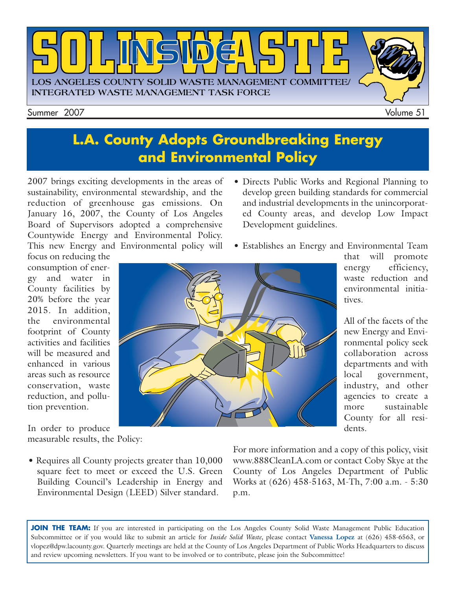

### **L.A. County Adopts Groundbreaking Energy and Environmental Policy**

2007 brings exciting developments in the areas of sustainability, environmental stewardship, and the reduction of greenhouse gas emissions. On January 16, 2007, the County of Los Angeles Board of Supervisors adopted a comprehensive Countywide Energy and Environmental Policy. This new Energy and Environmental policy will

- Directs Public Works and Regional Planning to develop green building standards for commercial and industrial developments in the unincorporated County areas, and develop Low Impact Development guidelines.
- Establishes an Energy and Environmental Team

focus on reducing the consumption of energy and water in County facilities by 20% before the year 2015. In addition, the environmental footprint of County activities and facilities will be measured and enhanced in various areas such as resource conservation, waste reduction, and pollution prevention.

In order to produce measurable results, the Policy:

• Requires all County projects greater than 10,000 square feet to meet or exceed the U.S. Green Building Council's Leadership in Energy and Environmental Design (LEED) Silver standard.

For more information and a copy of this policy, visit www.888CleanLA.com or contact [Coby Skye](mailto://cskye@dpw.lacounty.gov) at the County of Los Angeles Department of Public Works at (626) 458-5163, M-Th, 7:00 a.m. - 5:30 p.m.

JOIN THE TEAM: If you are interested in participating on the Los Angeles County Solid Waste Management Public Education Subcommittee or if you would like to submit an article for *Inside Solid Waste,* please contact **[Vanessa Lopez](mailto://vlopez@dpw.lacounty.gov)** at (626) 458-6563, or [vlopez@dpw.lacounty.gov.](mailto://vlopez@dpw.lacounty.gov) Quarterly meetings are held at the County of Los Angeles Department of Public Works Headquarters to discuss and review upcoming newsletters. If you want to be involved or to contribute, please join the Subcommittee!

dents.

that will promote energy efficiency, waste reduction and environmental initiatives.

All of the facets of the new Energy and Environmental policy seek collaboration across departments and with local government, industry, and other agencies to create a more sustainable County for all resi-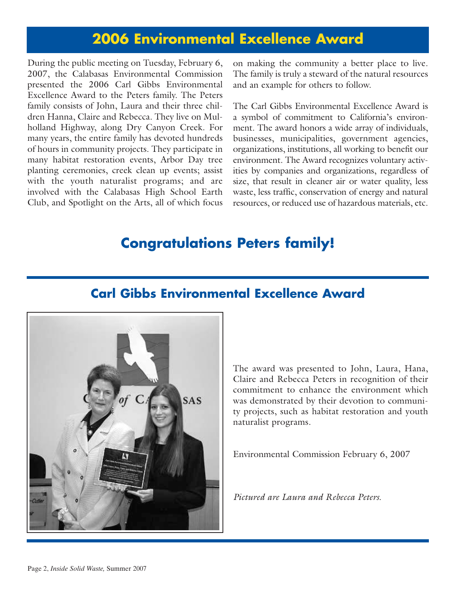### **2006 Environmental Excellence Award**

During the public meeting on Tuesday, February 6, 2007, the Calabasas Environmental Commission presented the 2006 Carl Gibbs Environmental Excellence Award to the Peters family. The Peters family consists of John, Laura and their three children Hanna, Claire and Rebecca. They live on Mulholland Highway, along Dry Canyon Creek. For many years, the entire family has devoted hundreds of hours in community projects. They participate in many habitat restoration events, Arbor Day tree planting ceremonies, creek clean up events; assist with the youth naturalist programs; and are involved with the Calabasas High School Earth Club, and Spotlight on the Arts, all of which focus on making the community a better place to live. The family is truly a steward of the natural resources and an example for others to follow.

The Carl Gibbs Environmental Excellence Award is a symbol of commitment to California's environment. The award honors a wide array of individuals, businesses, municipalities, government agencies, organizations, institutions, all working to benefit our environment. The Award recognizes voluntary activities by companies and organizations, regardless of size, that result in cleaner air or water quality, less waste, less traffic, conservation of energy and natural resources, or reduced use of hazardous materials, etc.

### **Congratulations Peters family!**



#### **Carl Gibbs Environmental Excellence Award**

The award was presented to John, Laura, Hana, Claire and Rebecca Peters in recognition of their commitment to enhance the environment which was demonstrated by their devotion to community projects, such as habitat restoration and youth naturalist programs.

Environmental Commission February 6, 2007

*Pictured are Laura and Rebecca Peters.*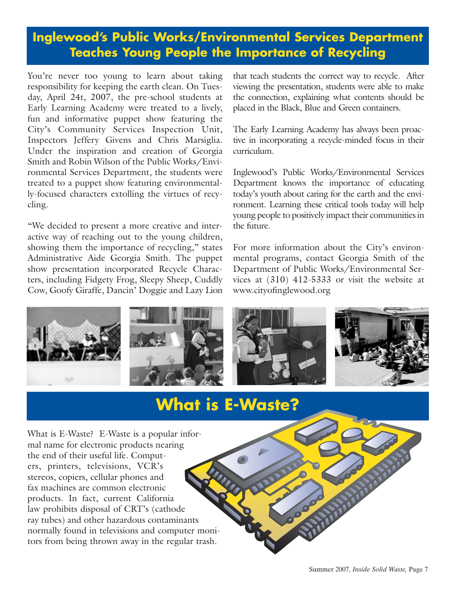### **Inglewood's Public Works/Environmental Services Department Teaches Young People the Importance of Recycling**

You're never too young to learn about taking responsibility for keeping the earth clean. On Tuesday, April 24t, 2007, the pre-school students at Early Learning Academy were treated to a lively, fun and informative puppet show featuring the City's Community Services Inspection Unit, Inspectors Jeffery Givens and Chris Marsiglia. Under the inspiration and creation of Georgia Smith and Robin Wilson of the Public Works/Environmental Services Department, the students were treated to a puppet show featuring environmentally-focused characters extolling the virtues of recycling.

"We decided to present a more creative and interactive way of reaching out to the young children, showing them the importance of recycling," states Administrative Aide Georgia Smith. The puppet show presentation incorporated Recycle Characters, including Fidgety Frog, Sleepy Sheep, Cuddly Cow, Goofy Giraffe, Dancin' Doggie and Lazy Lion that teach students the correct way to recycle. After viewing the presentation, students were able to make the connection, explaining what contents should be placed in the Black, Blue and Green containers.

The Early Learning Academy has always been proactive in incorporating a recycle-minded focus in their curriculum.

Inglewood's Public Works/Environmental Services Department knows the importance of educating today's youth about caring for the earth and the environment. Learning these critical tools today will help young people to positively impact their communities in the future.

For more information about the City's environmental programs, contact Georgia Smith of the Department of Public Works/Environmental Services at (310) 412-5333 or visit the website at [www.cityofinglewood.org](http://www.cityofinglewood.org/default.asp)



## **What is E-Waste?**

What is E-Waste? E-Waste is a popular informal name for electronic products nearing the end of their useful life. Computers, printers, televisions, VCR's stereos, copiers, cellular phones and fax machines are common electronic products. In fact, current California law prohibits disposal of CRT's (cathode ray tubes) and other hazardous contaminants normally found in televisions and computer monitors from being thrown away in the regular trash.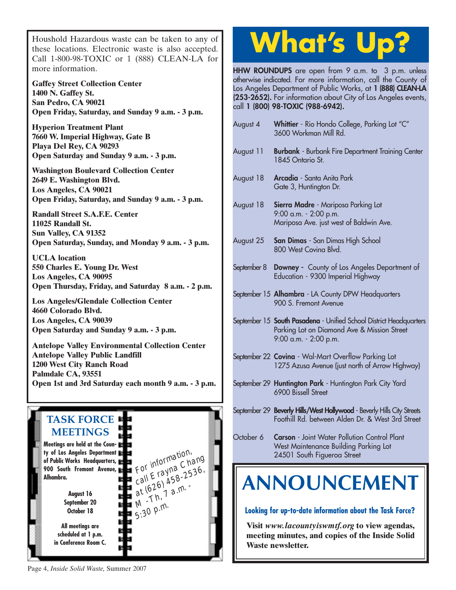Houshold Hazardous waste can be taken to any of [these locations. Electronic waste is also accepted.](http://www.lacity.org/san/solid_resources/special/hhw/safe_centers/index.htm) Call 1-800-98-TOXIC or 1 (888) CLEAN-LA for more information.

**Gaffey Street Collection Center 1400 N. Gaffey St. San Pedro, CA 90021 Open Friday, Saturday, and Sunday 9 a.m. - 3 p.m.**

**Hyperion Treatment Plant 7660 W. Imperial Highway, Gate B Playa Del Rey, CA 90293 Open Saturday and Sunday 9 a.m. - 3 p.m.**

**Washington Boulevard Collection Center 2649 E. Washington Blvd. Los Angeles, CA 90021 Open Friday, Saturday, and Sunday 9 a.m. - 3 p.m.**

**Randall Street S.A.F.E. Center 11025 Randall St. Sun Valley, CA 91352 Open Saturday, Sunday, and Monday 9 a.m. - 3 p.m.**

**UCLA location 550 Charles E. Young Dr. West Los Angeles, CA 90095 Open Thursday, Friday, and Saturday 8 a.m. - 2 p.m.**

**Los Angeles/Glendale Collection Center 4660 Colorado Blvd. Los Angeles, CA 90039 Open Saturday and Sunday 9 a.m. - 3 p.m.**

**Antelope Valley Environmental Collection Center Antelope Valley Public Landfill 1200 West City Ranch Road Palmdale CA, 93551 [Open 1st and 3rd Saturday each month 9 a.m. - 3 p.m.](http://ladpw.org/epd/avecc/index.cfm)**



# **What's Up?**

**HHW ROUNDUPS** are open from 9 a.m. to 3 p.m. unless otherwise indicated. For more information, call the County of Los Angeles Department of Public Works, at **1 (888) CLEAN-LA (253-2652).** For information about City of Los Angeles events, call **1 (800) 98-TOXIC (988-6942).**

| August 4    | Whittier - Rio Hondo College, Parking Lot "C"<br>3600 Workman Mill Rd.                                                                     |
|-------------|--------------------------------------------------------------------------------------------------------------------------------------------|
| August 11   | <b>Burbank</b> - Burbank Fire Department Training Center<br>1845 Ontario St.                                                               |
| August 18   | Arcadia - Santa Anita Park<br>Gate 3, Huntington Dr.                                                                                       |
| August 18   | Sierra Madre - Mariposa Parking Lot<br>9:00 a.m. - 2:00 p.m.<br>Mariposa Ave. just west of Baldwin Ave.                                    |
| August 25   | <b>San Dimas</b> - San Dimas High School<br>800 West Covina Blvd.                                                                          |
| September 8 | <b>Downey</b> - County of Los Angeles Department of<br>Education - 9300 Imperial Highway                                                   |
|             | September 15 Alhambra - LA County DPW Headquarters<br>900 S. Fremont Avenue                                                                |
|             | September 15 South Pasadena - Unified School District Headquarters<br>Parking Lot on Diamond Ave & Mission Street<br>9:00 a.m. - 2:00 p.m. |
|             | September 22 Covina - Wal-Mart Overflow Parking Lot<br>1275 Azusa Avenue (just north of Arrow Highway)                                     |
|             | September 29 Huntington Park - Huntington Park City Yard<br>6900 Bissell Street                                                            |
|             | September 29 <b>Beverly Hills/West Hollywood</b> - Beverly Hills City Streets<br>Foothill Rd. between Alden Dr. & West 3rd Street          |
| October 6   | Carson - Joint Water Pollution Control Plant<br>West Maintenance Building Parking Lot                                                      |

**Visit** *www.lacountyiswmtf.org* **to view agendas, meeting minutes, and copies of the Inside Solid Waste newsletter.**

Page 4, *Inside Solid Waste,* Summer 2007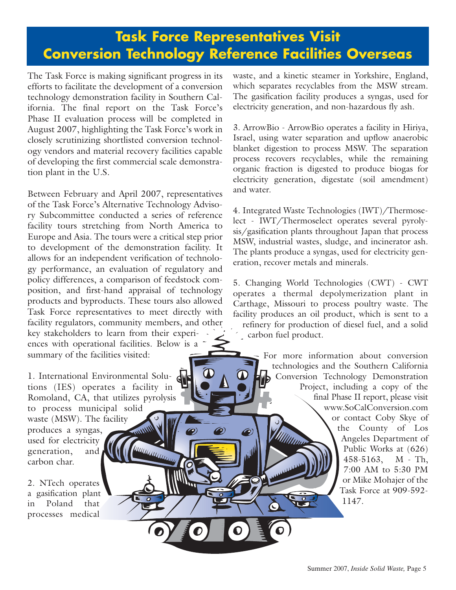The Task Force is making significant progress in its efforts to facilitate the development of a conversion technology demonstration facility in Southern California. The final report on the Task Force's Phase II evaluation process will be completed in August 2007, highlighting the Task Force's work in closely scrutinizing shortlisted conversion technology vendors and material recovery facilities capable of developing the first commercial scale demonstration plant in the U.S.

Between February and April 2007, representatives of the Task Force's Alternative Technology Advisory Subcommittee conducted a series of reference facility tours stretching from North America to Europe and Asia. The tours were a critical step prior to development of the demonstration facility. It allows for an independent verification of technology performance, an evaluation of regulatory and policy differences, a comparison of feedstock composition, and first-hand appraisal of technology products and byproducts. These tours also allowed Task Force representatives to meet directly with facility regulators, community members, and other key stakeholders to learn from their experiences with operational facilities. Below is a summary of the facilities visited:

1. International Environmental Solutions (IES) operates a facility in Romoland, CA, that utilizes pyrolysis to process municipal solid waste (MSW). The facility produces a syngas, used for electricity UUUNUUU generation, and carbon char.

2. NTech operates a gasification plant in Poland that processes medical

waste, and a kinetic steamer in Yorkshire, England, which separates recyclables from the MSW stream. The gasification facility produces a syngas, used for electricity generation, and non-hazardous fly ash.

3. ArrowBio - ArrowBio operates a facility in Hiriya, Israel, using water separation and upflow anaerobic blanket digestion to process MSW. The separation process recovers recyclables, while the remaining organic fraction is digested to produce biogas for electricity generation, digestate (soil amendment) and water.

4. Integrated Waste Technologies (IWT)/Thermoselect - IWT/Thermoselect operates several pyrolysis/gasification plants throughout Japan that process MSW, industrial wastes, sludge, and incinerator ash. The plants produce a syngas, used for electricity generation, recover metals and minerals.

5. Changing World Technologies (CWT) - CWT operates a thermal depolymerization plant in Carthage, Missouri to process poultry waste. The facility produces an oil product, which is sent to a refinery for production of diesel fuel, and a solid carbon fuel product.

> For more information about conversion technologies and the Southern California Conversion Technology Demonstration Project, including a copy of the final Phase II report, please visit www.SoCalConversion.com or contact Coby Skye of the County of Los Angeles Department of Public Works at (626) 458-5163, M - Th, 7:00 AM to 5:30 PM or Mike Mohajer of the Task Force at 909-592- 1147.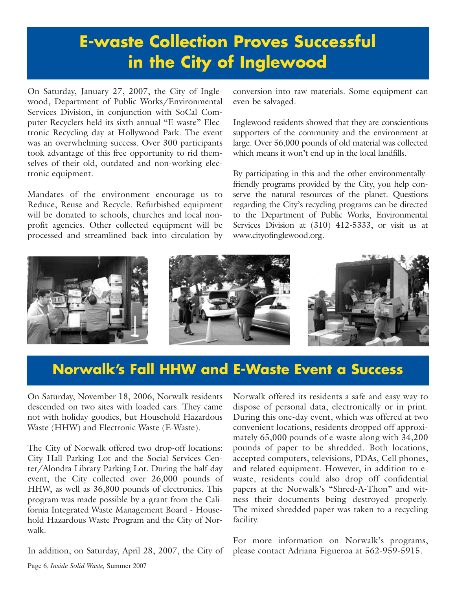## **E-waste Collection Proves Successful in the City of Inglewood**

On Saturday, January 27, 2007, the City of Inglewood, Department of Public Works/Environmental Services Division, in conjunction with SoCal Computer Recyclers held its sixth annual "E-waste" Electronic Recycling day at Hollywood Park. The event was an overwhelming success. Over 300 participants took advantage of this free opportunity to rid themselves of their old, outdated and non-working electronic equipment.

Mandates of the environment encourage us to Reduce, Reuse and Recycle. Refurbished equipment will be donated to schools, churches and local nonprofit agencies. Other collected equipment will be processed and streamlined back into circulation by conversion into raw materials. Some equipment can even be salvaged.

Inglewood residents showed that they are conscientious supporters of the community and the environment at large. Over 56,000 pounds of old material was collected which means it won't end up in the local landfills.

By participating in this and the other environmentallyfriendly programs provided by the City, you help conserve the natural resources of the planet. Questions regarding the City's recycling programs can be directed to the Department of Public Works, Environmental Services Division at (310) 412-5333, or visit us at [www.cityofinglewood.org.](http://www.cityofinglewood.org/default.asp) 



### **Norwalk's Fall HHW and E-Waste Event a Success**

On Saturday, November 18, 2006, Norwalk residents descended on two sites with loaded cars. They came not with holiday goodies, but Household Hazardous Waste (HHW) and Electronic Waste (E-Waste).

The City of Norwalk offered two drop-off locations: City Hall Parking Lot and the Social Services Center/Alondra Library Parking Lot. During the half-day event, the City collected over 26,000 pounds of HHW, as well as 36,800 pounds of electronics. This program was made possible by a grant from the California Integrated Waste Management Board - Household Hazardous Waste Program and the City of Norwalk.

In addition, on Saturday, April 28, 2007, the City of

Norwalk offered its residents a safe and easy way to dispose of personal data, electronically or in print. During this one-day event, which was offered at two convenient locations, residents dropped off approximately 65,000 pounds of e-waste along with 34,200 pounds of paper to be shredded. Both locations, accepted computers, televisions, PDAs, Cell phones, and related equipment. However, in addition to ewaste, residents could also drop off confidential papers at the Norwalk's "Shred-A-Thon" and witness their documents being destroyed properly. The mixed shredded paper was taken to a recycling facility.

For more information on Norwalk's programs, please contact Adriana Figueroa at 562-959-5915.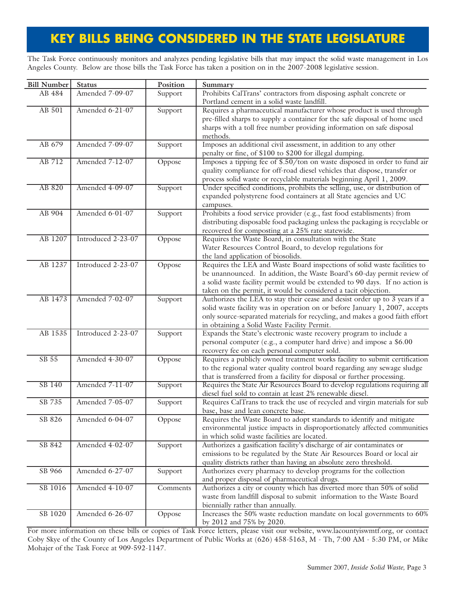### **KEY BILLS BEING CONSIDERED IN THE STATE LEGISLATURE**

The Task Force continuously monitors and analyzes pending legislative bills that may impact the solid waste management in Los Angeles County. Below are those bills the Task Force has taken a position on in the 2007-2008 legislative session.

| Amended 7-09-07<br>Prohibits CalTrans' contractors from disposing asphalt concrete or<br>AB 484<br>Support<br>Portland cement in a solid waste landfill.<br>AB 501<br>Amended 6-21-07<br>Support<br>Requires a pharmaceutical manufacturer whose product is used through<br>pre-filled sharps to supply a container for the safe disposal of home used<br>sharps with a toll free number providing information on safe disposal<br>methods.<br>Imposes an additional civil assessment, in addition to any other<br>AB 679<br>Amended 7-09-07<br>Support<br>penalty or fine, of \$100 to \$200 for illegal dumping.<br>Imposes a tipping fee of \$.50/ton on waste disposed in order to fund air<br>AB 712<br>Amended 7-12-07<br>Oppose<br>quality compliance for off-road diesel vehicles that dispose, transfer or<br>process solid waste or recyclable materials beginning April 1, 2009.<br>Under specified conditions, prohibits the selling, use, or distribution of<br>AB 820<br>Amended 4-09-07<br>Support<br>expanded polystyrene food containers at all State agencies and UC<br>campuses.<br>Prohibits a food service provider (e.g., fast food establisments) from<br>AB 904<br>Amended 6-01-07<br>Support<br>distributing disposable food packaging unless the packaging is recyclable or<br>recovered for composting at a 25% rate statewide.<br>AB 1207<br>Introduced 2-23-07<br>Requires the Waste Board, in consultation with the State<br>Oppose<br>Water Resources Control Board, to develop regulations for<br>the land application of biosolids.<br>AB 1237<br>Introduced 2-23-07<br>Requires the LEA and Waste Board inspections of solid waste facilities to<br>Oppose<br>be unannounced. In addition, the Waste Board's 60-day permit review of<br>a solid waste facility permit would be extended to 90 days. If no action is<br>taken on the permit, it would be considered a tacit objection.<br>AB 1473<br>Amended 7-02-07<br>Authorizes the LEA to stay their cease and desist order up to 3 years if a<br>Support<br>solid waste facility was in operation on or before January 1, 2007, accepts<br>only source-separated materials for recycling, and makes a good faith effort<br>in obtaining a Solid Waste Facility Permit.<br>AB 1535<br>Introduced 2-23-07<br>Support<br>Expands the State's electronic waste recovery program to include a<br>personal computer (e.g., a computer hard drive) and impose a \$6.00<br>recovery fee on each personal computer sold.<br>Amended 4-30-07<br>SB 55<br>Requires a publicly owned treatment works facility to submit certification<br>Oppose<br>to the regional water quality control board regarding any sewage sludge<br>that is transferred from a facility for disposal or further processing.<br>Amended 7-11-07<br>Requires the State Air Resources Board to develop regulations requiring all<br>SB 140<br>Support<br>diesel fuel sold to contain at least 2% renewable diesel.<br>Requires CalTrans to track the use of recycled and virgin materials for sub<br>SB 735<br>Amended 7-05-07<br>Support<br>base, base and lean concrete base.<br>Amended 6-04-07<br>SB 826<br>Requires the Waste Board to adopt standards to identify and mitigate<br>Oppose<br>environmental justice impacts in disproportionately affected communities<br>in which solid waste facilities are located.<br>Amended 4-02-07<br>Authorizes a gasification facility's discharge of air contaminates or<br>SB 842<br>Support<br>emissions to be regulated by the State Air Resources Board or local air<br>quality districts rather than having an absolute zero threshold.<br>Amended 6-27-07<br>Authorizes every pharmacy to develop programs for the collection<br>SB 966<br>Support<br>and proper disposal of pharmaceutical drugs.<br>Authorizes a city or county which has diverted more than 50% of solid<br>Amended 4-10-07<br>SB 1016<br>Comments | <b>Bill Number</b> | <b>Status</b> | Position | Summary                                                               |
|----------------------------------------------------------------------------------------------------------------------------------------------------------------------------------------------------------------------------------------------------------------------------------------------------------------------------------------------------------------------------------------------------------------------------------------------------------------------------------------------------------------------------------------------------------------------------------------------------------------------------------------------------------------------------------------------------------------------------------------------------------------------------------------------------------------------------------------------------------------------------------------------------------------------------------------------------------------------------------------------------------------------------------------------------------------------------------------------------------------------------------------------------------------------------------------------------------------------------------------------------------------------------------------------------------------------------------------------------------------------------------------------------------------------------------------------------------------------------------------------------------------------------------------------------------------------------------------------------------------------------------------------------------------------------------------------------------------------------------------------------------------------------------------------------------------------------------------------------------------------------------------------------------------------------------------------------------------------------------------------------------------------------------------------------------------------------------------------------------------------------------------------------------------------------------------------------------------------------------------------------------------------------------------------------------------------------------------------------------------------------------------------------------------------------------------------------------------------------------------------------------------------------------------------------------------------------------------------------------------------------------------------------------------------------------------------------------------------------------------------------------------------------------------------------------------------------------------------------------------------------------------------------------------------------------------------------------------------------------------------------------------------------------------------------------------------------------------------------------------------------------------------------------------------------------------------------------------------------------------------------------------------------------------------------------------------------------------------------------------------------------------------------------------------------------------------------------------------------------------------------------------------------------------------------------------------------------------------------------------------------------------------------------------------------------------------------------------------------------------------------------------------------------------------------------------------------------------------------------------------------------------------------------------------------|--------------------|---------------|----------|-----------------------------------------------------------------------|
|                                                                                                                                                                                                                                                                                                                                                                                                                                                                                                                                                                                                                                                                                                                                                                                                                                                                                                                                                                                                                                                                                                                                                                                                                                                                                                                                                                                                                                                                                                                                                                                                                                                                                                                                                                                                                                                                                                                                                                                                                                                                                                                                                                                                                                                                                                                                                                                                                                                                                                                                                                                                                                                                                                                                                                                                                                                                                                                                                                                                                                                                                                                                                                                                                                                                                                                                                                                                                                                                                                                                                                                                                                                                                                                                                                                                                                                                                                                            |                    |               |          |                                                                       |
|                                                                                                                                                                                                                                                                                                                                                                                                                                                                                                                                                                                                                                                                                                                                                                                                                                                                                                                                                                                                                                                                                                                                                                                                                                                                                                                                                                                                                                                                                                                                                                                                                                                                                                                                                                                                                                                                                                                                                                                                                                                                                                                                                                                                                                                                                                                                                                                                                                                                                                                                                                                                                                                                                                                                                                                                                                                                                                                                                                                                                                                                                                                                                                                                                                                                                                                                                                                                                                                                                                                                                                                                                                                                                                                                                                                                                                                                                                                            |                    |               |          |                                                                       |
|                                                                                                                                                                                                                                                                                                                                                                                                                                                                                                                                                                                                                                                                                                                                                                                                                                                                                                                                                                                                                                                                                                                                                                                                                                                                                                                                                                                                                                                                                                                                                                                                                                                                                                                                                                                                                                                                                                                                                                                                                                                                                                                                                                                                                                                                                                                                                                                                                                                                                                                                                                                                                                                                                                                                                                                                                                                                                                                                                                                                                                                                                                                                                                                                                                                                                                                                                                                                                                                                                                                                                                                                                                                                                                                                                                                                                                                                                                                            |                    |               |          |                                                                       |
|                                                                                                                                                                                                                                                                                                                                                                                                                                                                                                                                                                                                                                                                                                                                                                                                                                                                                                                                                                                                                                                                                                                                                                                                                                                                                                                                                                                                                                                                                                                                                                                                                                                                                                                                                                                                                                                                                                                                                                                                                                                                                                                                                                                                                                                                                                                                                                                                                                                                                                                                                                                                                                                                                                                                                                                                                                                                                                                                                                                                                                                                                                                                                                                                                                                                                                                                                                                                                                                                                                                                                                                                                                                                                                                                                                                                                                                                                                                            |                    |               |          |                                                                       |
|                                                                                                                                                                                                                                                                                                                                                                                                                                                                                                                                                                                                                                                                                                                                                                                                                                                                                                                                                                                                                                                                                                                                                                                                                                                                                                                                                                                                                                                                                                                                                                                                                                                                                                                                                                                                                                                                                                                                                                                                                                                                                                                                                                                                                                                                                                                                                                                                                                                                                                                                                                                                                                                                                                                                                                                                                                                                                                                                                                                                                                                                                                                                                                                                                                                                                                                                                                                                                                                                                                                                                                                                                                                                                                                                                                                                                                                                                                                            |                    |               |          |                                                                       |
|                                                                                                                                                                                                                                                                                                                                                                                                                                                                                                                                                                                                                                                                                                                                                                                                                                                                                                                                                                                                                                                                                                                                                                                                                                                                                                                                                                                                                                                                                                                                                                                                                                                                                                                                                                                                                                                                                                                                                                                                                                                                                                                                                                                                                                                                                                                                                                                                                                                                                                                                                                                                                                                                                                                                                                                                                                                                                                                                                                                                                                                                                                                                                                                                                                                                                                                                                                                                                                                                                                                                                                                                                                                                                                                                                                                                                                                                                                                            |                    |               |          |                                                                       |
|                                                                                                                                                                                                                                                                                                                                                                                                                                                                                                                                                                                                                                                                                                                                                                                                                                                                                                                                                                                                                                                                                                                                                                                                                                                                                                                                                                                                                                                                                                                                                                                                                                                                                                                                                                                                                                                                                                                                                                                                                                                                                                                                                                                                                                                                                                                                                                                                                                                                                                                                                                                                                                                                                                                                                                                                                                                                                                                                                                                                                                                                                                                                                                                                                                                                                                                                                                                                                                                                                                                                                                                                                                                                                                                                                                                                                                                                                                                            |                    |               |          |                                                                       |
|                                                                                                                                                                                                                                                                                                                                                                                                                                                                                                                                                                                                                                                                                                                                                                                                                                                                                                                                                                                                                                                                                                                                                                                                                                                                                                                                                                                                                                                                                                                                                                                                                                                                                                                                                                                                                                                                                                                                                                                                                                                                                                                                                                                                                                                                                                                                                                                                                                                                                                                                                                                                                                                                                                                                                                                                                                                                                                                                                                                                                                                                                                                                                                                                                                                                                                                                                                                                                                                                                                                                                                                                                                                                                                                                                                                                                                                                                                                            |                    |               |          |                                                                       |
|                                                                                                                                                                                                                                                                                                                                                                                                                                                                                                                                                                                                                                                                                                                                                                                                                                                                                                                                                                                                                                                                                                                                                                                                                                                                                                                                                                                                                                                                                                                                                                                                                                                                                                                                                                                                                                                                                                                                                                                                                                                                                                                                                                                                                                                                                                                                                                                                                                                                                                                                                                                                                                                                                                                                                                                                                                                                                                                                                                                                                                                                                                                                                                                                                                                                                                                                                                                                                                                                                                                                                                                                                                                                                                                                                                                                                                                                                                                            |                    |               |          |                                                                       |
|                                                                                                                                                                                                                                                                                                                                                                                                                                                                                                                                                                                                                                                                                                                                                                                                                                                                                                                                                                                                                                                                                                                                                                                                                                                                                                                                                                                                                                                                                                                                                                                                                                                                                                                                                                                                                                                                                                                                                                                                                                                                                                                                                                                                                                                                                                                                                                                                                                                                                                                                                                                                                                                                                                                                                                                                                                                                                                                                                                                                                                                                                                                                                                                                                                                                                                                                                                                                                                                                                                                                                                                                                                                                                                                                                                                                                                                                                                                            |                    |               |          |                                                                       |
|                                                                                                                                                                                                                                                                                                                                                                                                                                                                                                                                                                                                                                                                                                                                                                                                                                                                                                                                                                                                                                                                                                                                                                                                                                                                                                                                                                                                                                                                                                                                                                                                                                                                                                                                                                                                                                                                                                                                                                                                                                                                                                                                                                                                                                                                                                                                                                                                                                                                                                                                                                                                                                                                                                                                                                                                                                                                                                                                                                                                                                                                                                                                                                                                                                                                                                                                                                                                                                                                                                                                                                                                                                                                                                                                                                                                                                                                                                                            |                    |               |          |                                                                       |
|                                                                                                                                                                                                                                                                                                                                                                                                                                                                                                                                                                                                                                                                                                                                                                                                                                                                                                                                                                                                                                                                                                                                                                                                                                                                                                                                                                                                                                                                                                                                                                                                                                                                                                                                                                                                                                                                                                                                                                                                                                                                                                                                                                                                                                                                                                                                                                                                                                                                                                                                                                                                                                                                                                                                                                                                                                                                                                                                                                                                                                                                                                                                                                                                                                                                                                                                                                                                                                                                                                                                                                                                                                                                                                                                                                                                                                                                                                                            |                    |               |          |                                                                       |
|                                                                                                                                                                                                                                                                                                                                                                                                                                                                                                                                                                                                                                                                                                                                                                                                                                                                                                                                                                                                                                                                                                                                                                                                                                                                                                                                                                                                                                                                                                                                                                                                                                                                                                                                                                                                                                                                                                                                                                                                                                                                                                                                                                                                                                                                                                                                                                                                                                                                                                                                                                                                                                                                                                                                                                                                                                                                                                                                                                                                                                                                                                                                                                                                                                                                                                                                                                                                                                                                                                                                                                                                                                                                                                                                                                                                                                                                                                                            |                    |               |          |                                                                       |
|                                                                                                                                                                                                                                                                                                                                                                                                                                                                                                                                                                                                                                                                                                                                                                                                                                                                                                                                                                                                                                                                                                                                                                                                                                                                                                                                                                                                                                                                                                                                                                                                                                                                                                                                                                                                                                                                                                                                                                                                                                                                                                                                                                                                                                                                                                                                                                                                                                                                                                                                                                                                                                                                                                                                                                                                                                                                                                                                                                                                                                                                                                                                                                                                                                                                                                                                                                                                                                                                                                                                                                                                                                                                                                                                                                                                                                                                                                                            |                    |               |          |                                                                       |
|                                                                                                                                                                                                                                                                                                                                                                                                                                                                                                                                                                                                                                                                                                                                                                                                                                                                                                                                                                                                                                                                                                                                                                                                                                                                                                                                                                                                                                                                                                                                                                                                                                                                                                                                                                                                                                                                                                                                                                                                                                                                                                                                                                                                                                                                                                                                                                                                                                                                                                                                                                                                                                                                                                                                                                                                                                                                                                                                                                                                                                                                                                                                                                                                                                                                                                                                                                                                                                                                                                                                                                                                                                                                                                                                                                                                                                                                                                                            |                    |               |          |                                                                       |
|                                                                                                                                                                                                                                                                                                                                                                                                                                                                                                                                                                                                                                                                                                                                                                                                                                                                                                                                                                                                                                                                                                                                                                                                                                                                                                                                                                                                                                                                                                                                                                                                                                                                                                                                                                                                                                                                                                                                                                                                                                                                                                                                                                                                                                                                                                                                                                                                                                                                                                                                                                                                                                                                                                                                                                                                                                                                                                                                                                                                                                                                                                                                                                                                                                                                                                                                                                                                                                                                                                                                                                                                                                                                                                                                                                                                                                                                                                                            |                    |               |          |                                                                       |
|                                                                                                                                                                                                                                                                                                                                                                                                                                                                                                                                                                                                                                                                                                                                                                                                                                                                                                                                                                                                                                                                                                                                                                                                                                                                                                                                                                                                                                                                                                                                                                                                                                                                                                                                                                                                                                                                                                                                                                                                                                                                                                                                                                                                                                                                                                                                                                                                                                                                                                                                                                                                                                                                                                                                                                                                                                                                                                                                                                                                                                                                                                                                                                                                                                                                                                                                                                                                                                                                                                                                                                                                                                                                                                                                                                                                                                                                                                                            |                    |               |          |                                                                       |
|                                                                                                                                                                                                                                                                                                                                                                                                                                                                                                                                                                                                                                                                                                                                                                                                                                                                                                                                                                                                                                                                                                                                                                                                                                                                                                                                                                                                                                                                                                                                                                                                                                                                                                                                                                                                                                                                                                                                                                                                                                                                                                                                                                                                                                                                                                                                                                                                                                                                                                                                                                                                                                                                                                                                                                                                                                                                                                                                                                                                                                                                                                                                                                                                                                                                                                                                                                                                                                                                                                                                                                                                                                                                                                                                                                                                                                                                                                                            |                    |               |          |                                                                       |
|                                                                                                                                                                                                                                                                                                                                                                                                                                                                                                                                                                                                                                                                                                                                                                                                                                                                                                                                                                                                                                                                                                                                                                                                                                                                                                                                                                                                                                                                                                                                                                                                                                                                                                                                                                                                                                                                                                                                                                                                                                                                                                                                                                                                                                                                                                                                                                                                                                                                                                                                                                                                                                                                                                                                                                                                                                                                                                                                                                                                                                                                                                                                                                                                                                                                                                                                                                                                                                                                                                                                                                                                                                                                                                                                                                                                                                                                                                                            |                    |               |          |                                                                       |
|                                                                                                                                                                                                                                                                                                                                                                                                                                                                                                                                                                                                                                                                                                                                                                                                                                                                                                                                                                                                                                                                                                                                                                                                                                                                                                                                                                                                                                                                                                                                                                                                                                                                                                                                                                                                                                                                                                                                                                                                                                                                                                                                                                                                                                                                                                                                                                                                                                                                                                                                                                                                                                                                                                                                                                                                                                                                                                                                                                                                                                                                                                                                                                                                                                                                                                                                                                                                                                                                                                                                                                                                                                                                                                                                                                                                                                                                                                                            |                    |               |          |                                                                       |
|                                                                                                                                                                                                                                                                                                                                                                                                                                                                                                                                                                                                                                                                                                                                                                                                                                                                                                                                                                                                                                                                                                                                                                                                                                                                                                                                                                                                                                                                                                                                                                                                                                                                                                                                                                                                                                                                                                                                                                                                                                                                                                                                                                                                                                                                                                                                                                                                                                                                                                                                                                                                                                                                                                                                                                                                                                                                                                                                                                                                                                                                                                                                                                                                                                                                                                                                                                                                                                                                                                                                                                                                                                                                                                                                                                                                                                                                                                                            |                    |               |          |                                                                       |
|                                                                                                                                                                                                                                                                                                                                                                                                                                                                                                                                                                                                                                                                                                                                                                                                                                                                                                                                                                                                                                                                                                                                                                                                                                                                                                                                                                                                                                                                                                                                                                                                                                                                                                                                                                                                                                                                                                                                                                                                                                                                                                                                                                                                                                                                                                                                                                                                                                                                                                                                                                                                                                                                                                                                                                                                                                                                                                                                                                                                                                                                                                                                                                                                                                                                                                                                                                                                                                                                                                                                                                                                                                                                                                                                                                                                                                                                                                                            |                    |               |          |                                                                       |
|                                                                                                                                                                                                                                                                                                                                                                                                                                                                                                                                                                                                                                                                                                                                                                                                                                                                                                                                                                                                                                                                                                                                                                                                                                                                                                                                                                                                                                                                                                                                                                                                                                                                                                                                                                                                                                                                                                                                                                                                                                                                                                                                                                                                                                                                                                                                                                                                                                                                                                                                                                                                                                                                                                                                                                                                                                                                                                                                                                                                                                                                                                                                                                                                                                                                                                                                                                                                                                                                                                                                                                                                                                                                                                                                                                                                                                                                                                                            |                    |               |          |                                                                       |
|                                                                                                                                                                                                                                                                                                                                                                                                                                                                                                                                                                                                                                                                                                                                                                                                                                                                                                                                                                                                                                                                                                                                                                                                                                                                                                                                                                                                                                                                                                                                                                                                                                                                                                                                                                                                                                                                                                                                                                                                                                                                                                                                                                                                                                                                                                                                                                                                                                                                                                                                                                                                                                                                                                                                                                                                                                                                                                                                                                                                                                                                                                                                                                                                                                                                                                                                                                                                                                                                                                                                                                                                                                                                                                                                                                                                                                                                                                                            |                    |               |          |                                                                       |
|                                                                                                                                                                                                                                                                                                                                                                                                                                                                                                                                                                                                                                                                                                                                                                                                                                                                                                                                                                                                                                                                                                                                                                                                                                                                                                                                                                                                                                                                                                                                                                                                                                                                                                                                                                                                                                                                                                                                                                                                                                                                                                                                                                                                                                                                                                                                                                                                                                                                                                                                                                                                                                                                                                                                                                                                                                                                                                                                                                                                                                                                                                                                                                                                                                                                                                                                                                                                                                                                                                                                                                                                                                                                                                                                                                                                                                                                                                                            |                    |               |          |                                                                       |
|                                                                                                                                                                                                                                                                                                                                                                                                                                                                                                                                                                                                                                                                                                                                                                                                                                                                                                                                                                                                                                                                                                                                                                                                                                                                                                                                                                                                                                                                                                                                                                                                                                                                                                                                                                                                                                                                                                                                                                                                                                                                                                                                                                                                                                                                                                                                                                                                                                                                                                                                                                                                                                                                                                                                                                                                                                                                                                                                                                                                                                                                                                                                                                                                                                                                                                                                                                                                                                                                                                                                                                                                                                                                                                                                                                                                                                                                                                                            |                    |               |          |                                                                       |
|                                                                                                                                                                                                                                                                                                                                                                                                                                                                                                                                                                                                                                                                                                                                                                                                                                                                                                                                                                                                                                                                                                                                                                                                                                                                                                                                                                                                                                                                                                                                                                                                                                                                                                                                                                                                                                                                                                                                                                                                                                                                                                                                                                                                                                                                                                                                                                                                                                                                                                                                                                                                                                                                                                                                                                                                                                                                                                                                                                                                                                                                                                                                                                                                                                                                                                                                                                                                                                                                                                                                                                                                                                                                                                                                                                                                                                                                                                                            |                    |               |          |                                                                       |
|                                                                                                                                                                                                                                                                                                                                                                                                                                                                                                                                                                                                                                                                                                                                                                                                                                                                                                                                                                                                                                                                                                                                                                                                                                                                                                                                                                                                                                                                                                                                                                                                                                                                                                                                                                                                                                                                                                                                                                                                                                                                                                                                                                                                                                                                                                                                                                                                                                                                                                                                                                                                                                                                                                                                                                                                                                                                                                                                                                                                                                                                                                                                                                                                                                                                                                                                                                                                                                                                                                                                                                                                                                                                                                                                                                                                                                                                                                                            |                    |               |          |                                                                       |
|                                                                                                                                                                                                                                                                                                                                                                                                                                                                                                                                                                                                                                                                                                                                                                                                                                                                                                                                                                                                                                                                                                                                                                                                                                                                                                                                                                                                                                                                                                                                                                                                                                                                                                                                                                                                                                                                                                                                                                                                                                                                                                                                                                                                                                                                                                                                                                                                                                                                                                                                                                                                                                                                                                                                                                                                                                                                                                                                                                                                                                                                                                                                                                                                                                                                                                                                                                                                                                                                                                                                                                                                                                                                                                                                                                                                                                                                                                                            |                    |               |          |                                                                       |
|                                                                                                                                                                                                                                                                                                                                                                                                                                                                                                                                                                                                                                                                                                                                                                                                                                                                                                                                                                                                                                                                                                                                                                                                                                                                                                                                                                                                                                                                                                                                                                                                                                                                                                                                                                                                                                                                                                                                                                                                                                                                                                                                                                                                                                                                                                                                                                                                                                                                                                                                                                                                                                                                                                                                                                                                                                                                                                                                                                                                                                                                                                                                                                                                                                                                                                                                                                                                                                                                                                                                                                                                                                                                                                                                                                                                                                                                                                                            |                    |               |          |                                                                       |
|                                                                                                                                                                                                                                                                                                                                                                                                                                                                                                                                                                                                                                                                                                                                                                                                                                                                                                                                                                                                                                                                                                                                                                                                                                                                                                                                                                                                                                                                                                                                                                                                                                                                                                                                                                                                                                                                                                                                                                                                                                                                                                                                                                                                                                                                                                                                                                                                                                                                                                                                                                                                                                                                                                                                                                                                                                                                                                                                                                                                                                                                                                                                                                                                                                                                                                                                                                                                                                                                                                                                                                                                                                                                                                                                                                                                                                                                                                                            |                    |               |          |                                                                       |
|                                                                                                                                                                                                                                                                                                                                                                                                                                                                                                                                                                                                                                                                                                                                                                                                                                                                                                                                                                                                                                                                                                                                                                                                                                                                                                                                                                                                                                                                                                                                                                                                                                                                                                                                                                                                                                                                                                                                                                                                                                                                                                                                                                                                                                                                                                                                                                                                                                                                                                                                                                                                                                                                                                                                                                                                                                                                                                                                                                                                                                                                                                                                                                                                                                                                                                                                                                                                                                                                                                                                                                                                                                                                                                                                                                                                                                                                                                                            |                    |               |          |                                                                       |
|                                                                                                                                                                                                                                                                                                                                                                                                                                                                                                                                                                                                                                                                                                                                                                                                                                                                                                                                                                                                                                                                                                                                                                                                                                                                                                                                                                                                                                                                                                                                                                                                                                                                                                                                                                                                                                                                                                                                                                                                                                                                                                                                                                                                                                                                                                                                                                                                                                                                                                                                                                                                                                                                                                                                                                                                                                                                                                                                                                                                                                                                                                                                                                                                                                                                                                                                                                                                                                                                                                                                                                                                                                                                                                                                                                                                                                                                                                                            |                    |               |          |                                                                       |
|                                                                                                                                                                                                                                                                                                                                                                                                                                                                                                                                                                                                                                                                                                                                                                                                                                                                                                                                                                                                                                                                                                                                                                                                                                                                                                                                                                                                                                                                                                                                                                                                                                                                                                                                                                                                                                                                                                                                                                                                                                                                                                                                                                                                                                                                                                                                                                                                                                                                                                                                                                                                                                                                                                                                                                                                                                                                                                                                                                                                                                                                                                                                                                                                                                                                                                                                                                                                                                                                                                                                                                                                                                                                                                                                                                                                                                                                                                                            |                    |               |          |                                                                       |
|                                                                                                                                                                                                                                                                                                                                                                                                                                                                                                                                                                                                                                                                                                                                                                                                                                                                                                                                                                                                                                                                                                                                                                                                                                                                                                                                                                                                                                                                                                                                                                                                                                                                                                                                                                                                                                                                                                                                                                                                                                                                                                                                                                                                                                                                                                                                                                                                                                                                                                                                                                                                                                                                                                                                                                                                                                                                                                                                                                                                                                                                                                                                                                                                                                                                                                                                                                                                                                                                                                                                                                                                                                                                                                                                                                                                                                                                                                                            |                    |               |          |                                                                       |
|                                                                                                                                                                                                                                                                                                                                                                                                                                                                                                                                                                                                                                                                                                                                                                                                                                                                                                                                                                                                                                                                                                                                                                                                                                                                                                                                                                                                                                                                                                                                                                                                                                                                                                                                                                                                                                                                                                                                                                                                                                                                                                                                                                                                                                                                                                                                                                                                                                                                                                                                                                                                                                                                                                                                                                                                                                                                                                                                                                                                                                                                                                                                                                                                                                                                                                                                                                                                                                                                                                                                                                                                                                                                                                                                                                                                                                                                                                                            |                    |               |          |                                                                       |
|                                                                                                                                                                                                                                                                                                                                                                                                                                                                                                                                                                                                                                                                                                                                                                                                                                                                                                                                                                                                                                                                                                                                                                                                                                                                                                                                                                                                                                                                                                                                                                                                                                                                                                                                                                                                                                                                                                                                                                                                                                                                                                                                                                                                                                                                                                                                                                                                                                                                                                                                                                                                                                                                                                                                                                                                                                                                                                                                                                                                                                                                                                                                                                                                                                                                                                                                                                                                                                                                                                                                                                                                                                                                                                                                                                                                                                                                                                                            |                    |               |          |                                                                       |
|                                                                                                                                                                                                                                                                                                                                                                                                                                                                                                                                                                                                                                                                                                                                                                                                                                                                                                                                                                                                                                                                                                                                                                                                                                                                                                                                                                                                                                                                                                                                                                                                                                                                                                                                                                                                                                                                                                                                                                                                                                                                                                                                                                                                                                                                                                                                                                                                                                                                                                                                                                                                                                                                                                                                                                                                                                                                                                                                                                                                                                                                                                                                                                                                                                                                                                                                                                                                                                                                                                                                                                                                                                                                                                                                                                                                                                                                                                                            |                    |               |          |                                                                       |
|                                                                                                                                                                                                                                                                                                                                                                                                                                                                                                                                                                                                                                                                                                                                                                                                                                                                                                                                                                                                                                                                                                                                                                                                                                                                                                                                                                                                                                                                                                                                                                                                                                                                                                                                                                                                                                                                                                                                                                                                                                                                                                                                                                                                                                                                                                                                                                                                                                                                                                                                                                                                                                                                                                                                                                                                                                                                                                                                                                                                                                                                                                                                                                                                                                                                                                                                                                                                                                                                                                                                                                                                                                                                                                                                                                                                                                                                                                                            |                    |               |          |                                                                       |
|                                                                                                                                                                                                                                                                                                                                                                                                                                                                                                                                                                                                                                                                                                                                                                                                                                                                                                                                                                                                                                                                                                                                                                                                                                                                                                                                                                                                                                                                                                                                                                                                                                                                                                                                                                                                                                                                                                                                                                                                                                                                                                                                                                                                                                                                                                                                                                                                                                                                                                                                                                                                                                                                                                                                                                                                                                                                                                                                                                                                                                                                                                                                                                                                                                                                                                                                                                                                                                                                                                                                                                                                                                                                                                                                                                                                                                                                                                                            |                    |               |          |                                                                       |
|                                                                                                                                                                                                                                                                                                                                                                                                                                                                                                                                                                                                                                                                                                                                                                                                                                                                                                                                                                                                                                                                                                                                                                                                                                                                                                                                                                                                                                                                                                                                                                                                                                                                                                                                                                                                                                                                                                                                                                                                                                                                                                                                                                                                                                                                                                                                                                                                                                                                                                                                                                                                                                                                                                                                                                                                                                                                                                                                                                                                                                                                                                                                                                                                                                                                                                                                                                                                                                                                                                                                                                                                                                                                                                                                                                                                                                                                                                                            |                    |               |          |                                                                       |
|                                                                                                                                                                                                                                                                                                                                                                                                                                                                                                                                                                                                                                                                                                                                                                                                                                                                                                                                                                                                                                                                                                                                                                                                                                                                                                                                                                                                                                                                                                                                                                                                                                                                                                                                                                                                                                                                                                                                                                                                                                                                                                                                                                                                                                                                                                                                                                                                                                                                                                                                                                                                                                                                                                                                                                                                                                                                                                                                                                                                                                                                                                                                                                                                                                                                                                                                                                                                                                                                                                                                                                                                                                                                                                                                                                                                                                                                                                                            |                    |               |          |                                                                       |
|                                                                                                                                                                                                                                                                                                                                                                                                                                                                                                                                                                                                                                                                                                                                                                                                                                                                                                                                                                                                                                                                                                                                                                                                                                                                                                                                                                                                                                                                                                                                                                                                                                                                                                                                                                                                                                                                                                                                                                                                                                                                                                                                                                                                                                                                                                                                                                                                                                                                                                                                                                                                                                                                                                                                                                                                                                                                                                                                                                                                                                                                                                                                                                                                                                                                                                                                                                                                                                                                                                                                                                                                                                                                                                                                                                                                                                                                                                                            |                    |               |          |                                                                       |
|                                                                                                                                                                                                                                                                                                                                                                                                                                                                                                                                                                                                                                                                                                                                                                                                                                                                                                                                                                                                                                                                                                                                                                                                                                                                                                                                                                                                                                                                                                                                                                                                                                                                                                                                                                                                                                                                                                                                                                                                                                                                                                                                                                                                                                                                                                                                                                                                                                                                                                                                                                                                                                                                                                                                                                                                                                                                                                                                                                                                                                                                                                                                                                                                                                                                                                                                                                                                                                                                                                                                                                                                                                                                                                                                                                                                                                                                                                                            |                    |               |          |                                                                       |
|                                                                                                                                                                                                                                                                                                                                                                                                                                                                                                                                                                                                                                                                                                                                                                                                                                                                                                                                                                                                                                                                                                                                                                                                                                                                                                                                                                                                                                                                                                                                                                                                                                                                                                                                                                                                                                                                                                                                                                                                                                                                                                                                                                                                                                                                                                                                                                                                                                                                                                                                                                                                                                                                                                                                                                                                                                                                                                                                                                                                                                                                                                                                                                                                                                                                                                                                                                                                                                                                                                                                                                                                                                                                                                                                                                                                                                                                                                                            |                    |               |          |                                                                       |
|                                                                                                                                                                                                                                                                                                                                                                                                                                                                                                                                                                                                                                                                                                                                                                                                                                                                                                                                                                                                                                                                                                                                                                                                                                                                                                                                                                                                                                                                                                                                                                                                                                                                                                                                                                                                                                                                                                                                                                                                                                                                                                                                                                                                                                                                                                                                                                                                                                                                                                                                                                                                                                                                                                                                                                                                                                                                                                                                                                                                                                                                                                                                                                                                                                                                                                                                                                                                                                                                                                                                                                                                                                                                                                                                                                                                                                                                                                                            |                    |               |          |                                                                       |
| waste from landfill disposal to submit information to the Waste Board                                                                                                                                                                                                                                                                                                                                                                                                                                                                                                                                                                                                                                                                                                                                                                                                                                                                                                                                                                                                                                                                                                                                                                                                                                                                                                                                                                                                                                                                                                                                                                                                                                                                                                                                                                                                                                                                                                                                                                                                                                                                                                                                                                                                                                                                                                                                                                                                                                                                                                                                                                                                                                                                                                                                                                                                                                                                                                                                                                                                                                                                                                                                                                                                                                                                                                                                                                                                                                                                                                                                                                                                                                                                                                                                                                                                                                                      |                    |               |          |                                                                       |
| biennially rather than annually.                                                                                                                                                                                                                                                                                                                                                                                                                                                                                                                                                                                                                                                                                                                                                                                                                                                                                                                                                                                                                                                                                                                                                                                                                                                                                                                                                                                                                                                                                                                                                                                                                                                                                                                                                                                                                                                                                                                                                                                                                                                                                                                                                                                                                                                                                                                                                                                                                                                                                                                                                                                                                                                                                                                                                                                                                                                                                                                                                                                                                                                                                                                                                                                                                                                                                                                                                                                                                                                                                                                                                                                                                                                                                                                                                                                                                                                                                           |                    |               |          |                                                                       |
| SB 1020<br>Amended 6-26-07<br>Oppose                                                                                                                                                                                                                                                                                                                                                                                                                                                                                                                                                                                                                                                                                                                                                                                                                                                                                                                                                                                                                                                                                                                                                                                                                                                                                                                                                                                                                                                                                                                                                                                                                                                                                                                                                                                                                                                                                                                                                                                                                                                                                                                                                                                                                                                                                                                                                                                                                                                                                                                                                                                                                                                                                                                                                                                                                                                                                                                                                                                                                                                                                                                                                                                                                                                                                                                                                                                                                                                                                                                                                                                                                                                                                                                                                                                                                                                                                       |                    |               |          | Increases the 50% waste reduction mandate on local governments to 60% |
| by 2012 and 75% by 2020.                                                                                                                                                                                                                                                                                                                                                                                                                                                                                                                                                                                                                                                                                                                                                                                                                                                                                                                                                                                                                                                                                                                                                                                                                                                                                                                                                                                                                                                                                                                                                                                                                                                                                                                                                                                                                                                                                                                                                                                                                                                                                                                                                                                                                                                                                                                                                                                                                                                                                                                                                                                                                                                                                                                                                                                                                                                                                                                                                                                                                                                                                                                                                                                                                                                                                                                                                                                                                                                                                                                                                                                                                                                                                                                                                                                                                                                                                                   |                    |               |          |                                                                       |

For more information on these bills or copies of Task Force letters, please visit our website[, www.lacountyiswmtf.org,](http://ladpw.org/epd/tf/) or contact Coby Skye of the County of Los Angeles Department of Public Works at (626) 458-5163, M - Th, 7:00 AM - 5:30 PM, or Mike Mohajer of the Task Force at 909-592-1147.